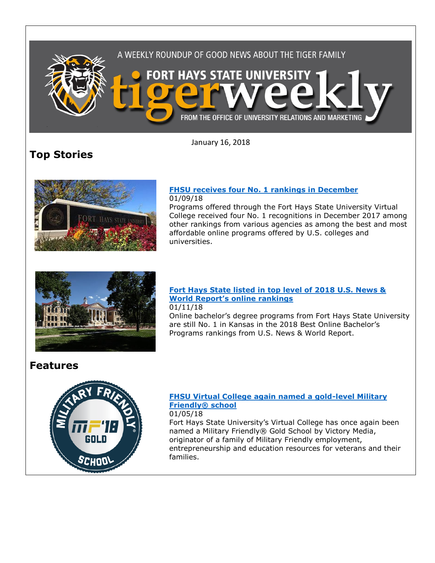

January 16, 2018

# **Top Stories**



#### **[FHSU receives four No. 1 rankings in December](http://www.fhsu.edu/news/2018/01/fhsu-receives-four-no.-1-rankings-in-december.html)** 01/09/18

Programs offered through the Fort Hays State University Virtual College received four No. 1 recognitions in December 2017 among other rankings from various agencies as among the best and most affordable online programs offered by U.S. colleges and universities.



### **[Fort Hays State listed in top level of 2018 U.S. News &](http://www.fhsu.edu/news/2018/01/fort-hays-state-listed-in-top-level-of-2018-u.s.-news--world-reports-online-rankings.html)  [World Report's online rankings](http://www.fhsu.edu/news/2018/01/fort-hays-state-listed-in-top-level-of-2018-u.s.-news--world-reports-online-rankings.html)**

01/11/18

Online bachelor's degree programs from Fort Hays State University are still No. 1 in Kansas in the 2018 Best Online Bachelor's Programs rankings from U.S. News & World Report.

## **Features**



### **[FHSU Virtual College again named a gold-level Military](http://www.fhsu.edu/news/2018/01/fhsu-virtual-college-again-named-a-gold-level-military-friendly-school.html)  [Friendly® school](http://www.fhsu.edu/news/2018/01/fhsu-virtual-college-again-named-a-gold-level-military-friendly-school.html)**

01/05/18

Fort Hays State University's Virtual College has once again been named a Military Friendly® Gold School by Victory Media, originator of a family of Military Friendly employment, entrepreneurship and education resources for veterans and their families.